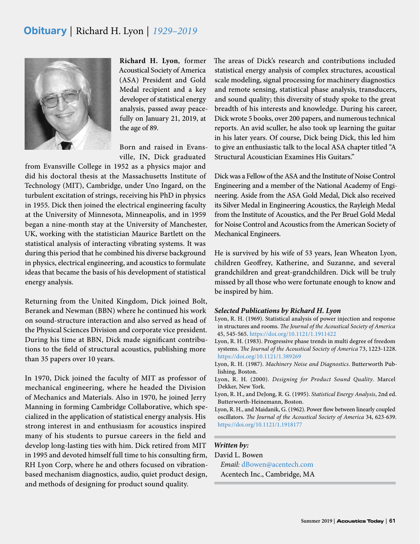## **Obituary** | Richard H. Lyon | *1929–2019*



**Richard H. Lyon**, former Acoustical Society of America (ASA) President and Gold Medal recipient and a key developer of statistical energy analysis, passed away peacefully on January 21, 2019, at the age of 89.

Born and raised in Evansville, IN, Dick graduated

from Evansville College in 1952 as a physics major and did his doctoral thesis at the Massachusetts Institute of Technology (MIT), Cambridge, under Uno Ingard, on the turbulent excitation of strings, receiving his PhD in physics in 1955. Dick then joined the electrical engineering faculty at the University of Minnesota, Minneapolis, and in 1959 began a nine-month stay at the University of Manchester, UK, working with the statistician Maurice Bartlett on the statistical analysis of interacting vibrating systems. It was during this period that he combined his diverse background in physics, electrical engineering, and acoustics to formulate ideas that became the basis of his development of statistical energy analysis.

Returning from the United Kingdom, Dick joined Bolt, Beranek and Newman (BBN) where he continued his work on sound-structure interaction and also served as head of the Physical Sciences Division and corporate vice president. During his time at BBN, Dick made significant contributions to the field of structural acoustics, publishing more than 35 papers over 10 years.

In 1970, Dick joined the faculty of MIT as professor of mechanical engineering, where he headed the Division of Mechanics and Materials. Also in 1970, he joined Jerry Manning in forming Cambridge Collaborative, which specialized in the application of statistical energy analysis. His strong interest in and enthusiasm for acoustics inspired many of his students to pursue careers in the field and develop long-lasting ties with him. Dick retired from MIT in 1995 and devoted himself full time to his consulting firm, RH Lyon Corp, where he and others focused on vibrationbased mechanism diagnostics, audio, quiet product design, and methods of designing for product sound quality.

The areas of Dick's research and contributions included statistical energy analysis of complex structures, acoustical scale modeling, signal processing for machinery diagnostics and remote sensing, statistical phase analysis, transducers, and sound quality; this diversity of study spoke to the great breadth of his interests and knowledge. During his career, Dick wrote 5 books, over 200 papers, and numerous technical reports. An avid sculler, he also took up learning the guitar in his later years. Of course, Dick being Dick, this led him to give an enthusiastic talk to the local ASA chapter titled "A Structural Acoustician Examines His Guitars."

Dick was a Fellow of the ASA and the Institute of Noise Control Engineering and a member of the National Academy of Engineering. Aside from the ASA Gold Medal, Dick also received its Silver Medal in Engineering Acoustics, the Rayleigh Medal from the Institute of Acoustics, and the Per Bruel Gold Medal for Noise Control and Acoustics from the American Society of Mechanical Engineers.

He is survived by his wife of 53 years, Jean Wheaton Lyon, children Geoffrey, Katherine, and Suzanne, and several grandchildren and great-grandchildren. Dick will be truly missed by all those who were fortunate enough to know and be inspired by him.

#### *Selected Publications by Richard H. Lyon*

- Lyon, R. H. (1969). Statistical analysis of power injection and response in structures and rooms. *The Journal of the Acoustical Society of America* 45, 545-565. https://doi.org/10.1121/1.1911422
- Lyon, R. H. (1983). Progressive phase trends in multi degree of freedom systems. *The Journal of the Acoustical Society of America* 73, 1223-1228. https://doi.org/10.1121/1.389269
- Lyon, R. H. (1987). *Machinery Noise and Diagnostics*. Butterworth Publishing, Boston.
- Lyon, R. H. (2000). *Designing for Product Sound Quality*. Marcel Dekker, New York.
- Lyon, R. H., and DeJong, R. G. (1995). *Statistical Energy Analysis*, 2nd ed. Butterworth-Heinemann, Boston.
- Lyon, R. H., and Maidanik, G. (1962). Power flow between linearly coupled oscillators. *The Journal of the Acoustical Society of America* 34, 623-639. <https://doi.org/10.1121/1.1918177>

### *Written by:*

David L. Bowen *Email:* [dBowen@acentech.com](mailto:dBowen%40acentech.com?subject=) Acentech Inc., Cambridge, MA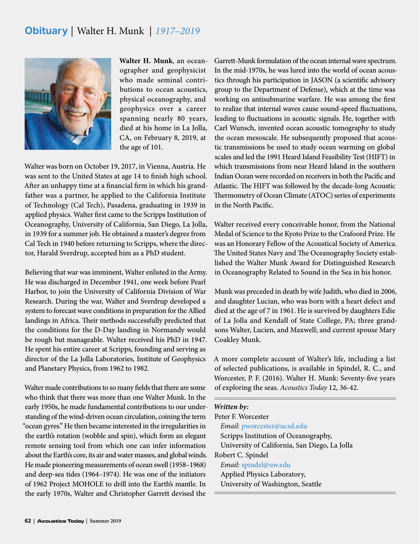# **Obituary** | Walter H. Munk | *1917–2019*



**Walter H. Munk**, an oceanographer and geophysicist who made seminal contributions to ocean acoustics, physical oceanography, and geophysics over a career spanning nearly 80 years, died at his home in La Jolla, CA, on February 8, 2019, at the age of 101.

Walter was born on October 19, 2017, in Vienna, Austria. He was sent to the United States at age 14 to finish high school. After an unhappy time at a financial firm in which his grandfather was a partner, he applied to the California Institute of Technology (Cal Tech), Pasadena, graduating in 1939 in applied physics. Walter first came to the Scripps Institution of Oceanography, University of California, San Diego, La Jolla, in 1939 for a summer job. He obtained a master's degree from Cal Tech in 1940 before returning to Scripps, where the director, Harald Sverdrup, accepted him as a PhD student.

Believing that war was imminent, Walter enlisted in the Army. He was discharged in December 1941, one week before Pearl Harbor, to join the University of California Division of War Research. During the war, Walter and Sverdrup developed a system to forecast wave conditions in preparation for the Allied landings in Africa. Their methods successfully predicted that the conditions for the D-Day landing in Normandy would be rough but manageable. Walter received his PhD in 1947. He spent his entire career at Scripps, founding and serving as director of the La Jolla Laboratories, Institute of Geophysics and Planetary Physics, from 1962 to 1982.

Walter made contributions to so many fields that there are some who think that there was more than one Walter Munk. In the early 1950s, he made fundamental contributions to our understanding of the wind-driven ocean circulation, coining the term "ocean gyres." He then became interested in the irregularities in the earth's rotation (wobble and spin), which form an elegant remote sensing tool from which one can infer information about the Earth's core, its air and water masses, and global winds. He made pioneering measurements of ocean swell (1958–1968) and deep-sea tides (1964–1974). He was one of the initiators of 1962 Project MOHOLE to drill into the Earth's mantle. In the early 1970s, Walter and Christopher Garrett devised the

Garrett-Munk formulation of the ocean internal wave spectrum. In the mid-1970s, he was lured into the world of ocean acoustics through his participation in JASON (a scientific advisory group to the Department of Defense), which at the time was working on antisubmarine warfare. He was among the first to realize that internal waves cause sound-speed fluctuations, leading to fluctuations in acoustic signals. He, together with Carl Wunsch, invented ocean acoustic tomography to study the ocean mesoscale. He subsequently proposed that acoustic transmissions be used to study ocean warming on global scales and led the 1991 Heard Island Feasibility Test (HIFT) in which transmissions from near Heard Island in the southern Indian Ocean were recorded on receivers in both the Pacific and Atlantic. The HIFT was followed by the decade-long Acoustic Thermometry of Ocean Climate (ATOC) series of experiments in the North Pacific.

Walter received every conceivable honor, from the National Medal of Science to the Kyoto Prize to the Crafoord Prize. He was an Honorary Fellow of the Acoustical Society of America. The United States Navy and The Oceanography Society established the Walter Munk Award for Distinguished Research in Oceanography Related to Sound in the Sea in his honor.

Munk was preceded in death by wife Judith, who died in 2006, and daughter Lucian, who was born with a heart defect and died at the age of 7 in 1961. He is survived by daughters Edie of La Jolla and Kendall of State College, PA; three grandsons Walter, Lucien, and Maxwell; and current spouse Mary Coakley Munk.

A more complete account of Walter's life, including a list of selected publications, is available in Spindel, R. C., and Worcester, P. F. (2016). Walter H. Munk: Seventy-five years of exploring the seas. *Acoustics Today* 12, 36-42.

| Written by:                                   |
|-----------------------------------------------|
| Peter F. Worcester                            |
| Email: pworcester@ucsd.edu                    |
| Scripps Institution of Oceanography,          |
| University of California, San Diego, La Jolla |
| Robert C. Spindel                             |
| Email: spindel@uw.edu                         |
| Applied Physics Laboratory,                   |
| University of Washington, Seattle             |
|                                               |